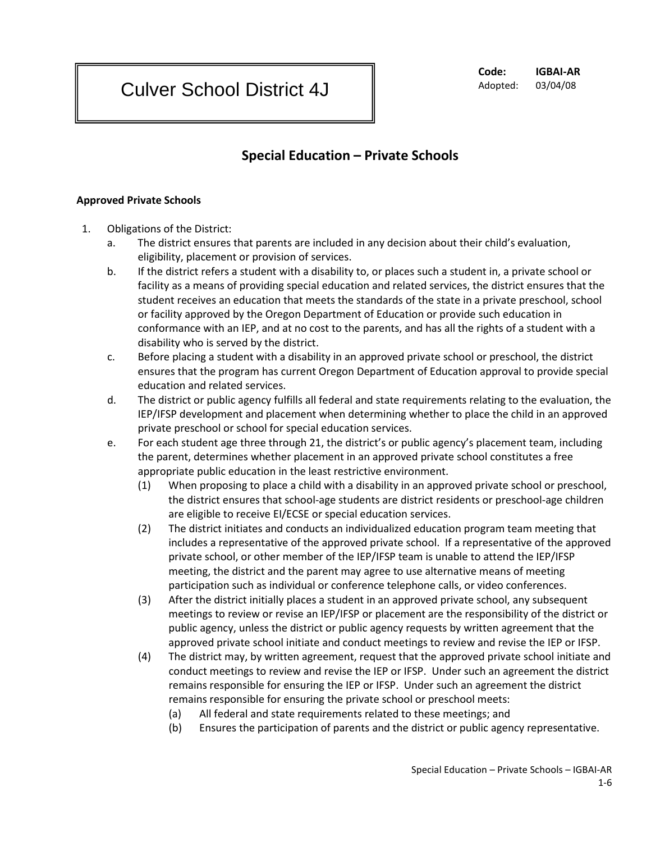**Code: IGBAI-AR** Adopted: 03/04/08

## **Special Education – Private Schools**

## **Approved Private Schools**

- 1. Obligations of the District:
	- a. The district ensures that parents are included in any decision about their child's evaluation, eligibility, placement or provision of services.
	- b. If the district refers a student with a disability to, or places such a student in, a private school or facility as a means of providing special education and related services, the district ensures that the student receives an education that meets the standards of the state in a private preschool, school or facility approved by the Oregon Department of Education or provide such education in conformance with an IEP, and at no cost to the parents, and has all the rights of a student with a disability who is served by the district.
	- c. Before placing a student with a disability in an approved private school or preschool, the district ensures that the program has current Oregon Department of Education approval to provide special education and related services.
	- d. The district or public agency fulfills all federal and state requirements relating to the evaluation, the IEP/IFSP development and placement when determining whether to place the child in an approved private preschool or school for special education services.
	- e. For each student age three through 21, the district's or public agency's placement team, including the parent, determines whether placement in an approved private school constitutes a free appropriate public education in the least restrictive environment.
		- (1) When proposing to place a child with a disability in an approved private school or preschool, the district ensures that school-age students are district residents or preschool-age children are eligible to receive EI/ECSE or special education services.
		- (2) The district initiates and conducts an individualized education program team meeting that includes a representative of the approved private school. If a representative of the approved private school, or other member of the IEP/IFSP team is unable to attend the IEP/IFSP meeting, the district and the parent may agree to use alternative means of meeting participation such as individual or conference telephone calls, or video conferences.
		- (3) After the district initially places a student in an approved private school, any subsequent meetings to review or revise an IEP/IFSP or placement are the responsibility of the district or public agency, unless the district or public agency requests by written agreement that the approved private school initiate and conduct meetings to review and revise the IEP or IFSP.
		- (4) The district may, by written agreement, request that the approved private school initiate and conduct meetings to review and revise the IEP or IFSP. Under such an agreement the district remains responsible for ensuring the IEP or IFSP. Under such an agreement the district remains responsible for ensuring the private school or preschool meets:
			- (a) All federal and state requirements related to these meetings; and
			- (b) Ensures the participation of parents and the district or public agency representative.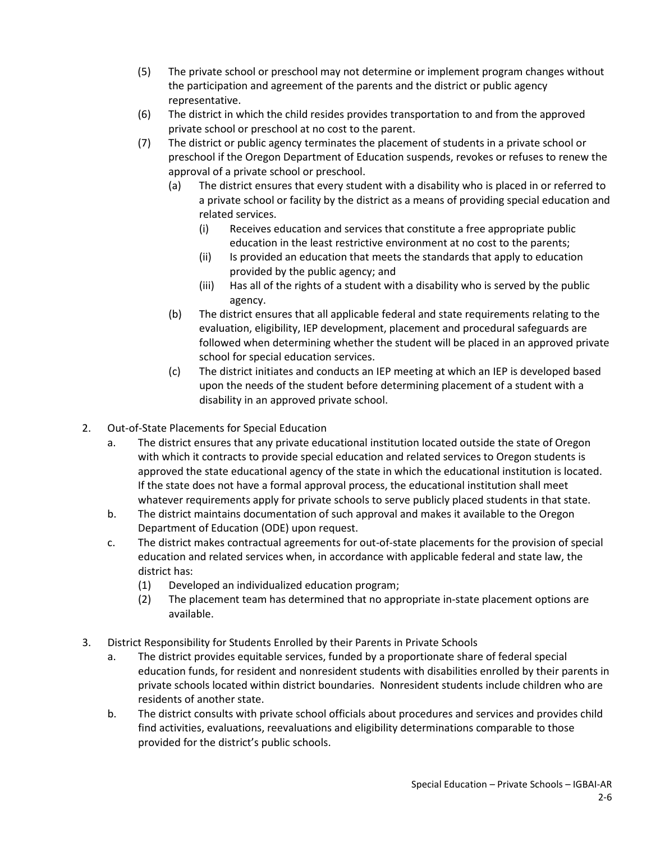- (5) The private school or preschool may not determine or implement program changes without the participation and agreement of the parents and the district or public agency representative.
- (6) The district in which the child resides provides transportation to and from the approved private school or preschool at no cost to the parent.
- (7) The district or public agency terminates the placement of students in a private school or preschool if the Oregon Department of Education suspends, revokes or refuses to renew the approval of a private school or preschool.
	- (a) The district ensures that every student with a disability who is placed in or referred to a private school or facility by the district as a means of providing special education and related services.
		- (i) Receives education and services that constitute a free appropriate public education in the least restrictive environment at no cost to the parents;
		- (ii) Is provided an education that meets the standards that apply to education provided by the public agency; and
		- (iii) Has all of the rights of a student with a disability who is served by the public agency.
	- (b) The district ensures that all applicable federal and state requirements relating to the evaluation, eligibility, IEP development, placement and procedural safeguards are followed when determining whether the student will be placed in an approved private school for special education services.
	- (c) The district initiates and conducts an IEP meeting at which an IEP is developed based upon the needs of the student before determining placement of a student with a disability in an approved private school.
- 2. Out-of-State Placements for Special Education
	- a. The district ensures that any private educational institution located outside the state of Oregon with which it contracts to provide special education and related services to Oregon students is approved the state educational agency of the state in which the educational institution is located. If the state does not have a formal approval process, the educational institution shall meet whatever requirements apply for private schools to serve publicly placed students in that state.
	- b. The district maintains documentation of such approval and makes it available to the Oregon Department of Education (ODE) upon request.
	- c. The district makes contractual agreements for out-of-state placements for the provision of special education and related services when, in accordance with applicable federal and state law, the district has:
		- (1) Developed an individualized education program;
		- (2) The placement team has determined that no appropriate in-state placement options are available.
- 3. District Responsibility for Students Enrolled by their Parents in Private Schools
	- a. The district provides equitable services, funded by a proportionate share of federal special education funds, for resident and nonresident students with disabilities enrolled by their parents in private schools located within district boundaries. Nonresident students include children who are residents of another state.
	- b. The district consults with private school officials about procedures and services and provides child find activities, evaluations, reevaluations and eligibility determinations comparable to those provided for the district's public schools.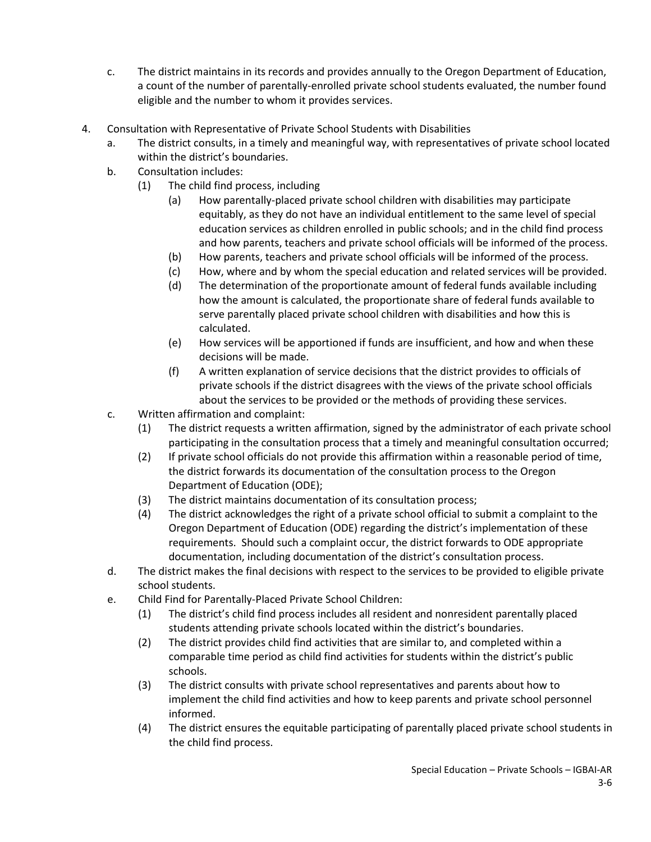- c. The district maintains in its records and provides annually to the Oregon Department of Education, a count of the number of parentally-enrolled private school students evaluated, the number found eligible and the number to whom it provides services.
- 4. Consultation with Representative of Private School Students with Disabilities
	- a. The district consults, in a timely and meaningful way, with representatives of private school located within the district's boundaries.
	- b. Consultation includes:
		- (1) The child find process, including
			- (a) How parentally-placed private school children with disabilities may participate equitably, as they do not have an individual entitlement to the same level of special education services as children enrolled in public schools; and in the child find process and how parents, teachers and private school officials will be informed of the process.
			- (b) How parents, teachers and private school officials will be informed of the process.
			- (c) How, where and by whom the special education and related services will be provided.
			- (d) The determination of the proportionate amount of federal funds available including how the amount is calculated, the proportionate share of federal funds available to serve parentally placed private school children with disabilities and how this is calculated.
			- (e) How services will be apportioned if funds are insufficient, and how and when these decisions will be made.
			- (f) A written explanation of service decisions that the district provides to officials of private schools if the district disagrees with the views of the private school officials about the services to be provided or the methods of providing these services.
	- c. Written affirmation and complaint:
		- (1) The district requests a written affirmation, signed by the administrator of each private school participating in the consultation process that a timely and meaningful consultation occurred;
		- (2) If private school officials do not provide this affirmation within a reasonable period of time, the district forwards its documentation of the consultation process to the Oregon Department of Education (ODE);
		- (3) The district maintains documentation of its consultation process;
		- (4) The district acknowledges the right of a private school official to submit a complaint to the Oregon Department of Education (ODE) regarding the district's implementation of these requirements. Should such a complaint occur, the district forwards to ODE appropriate documentation, including documentation of the district's consultation process.
	- d. The district makes the final decisions with respect to the services to be provided to eligible private school students.
	- e. Child Find for Parentally-Placed Private School Children:
		- (1) The district's child find process includes all resident and nonresident parentally placed students attending private schools located within the district's boundaries.
		- (2) The district provides child find activities that are similar to, and completed within a comparable time period as child find activities for students within the district's public schools.
		- (3) The district consults with private school representatives and parents about how to implement the child find activities and how to keep parents and private school personnel informed.
		- (4) The district ensures the equitable participating of parentally placed private school students in the child find process.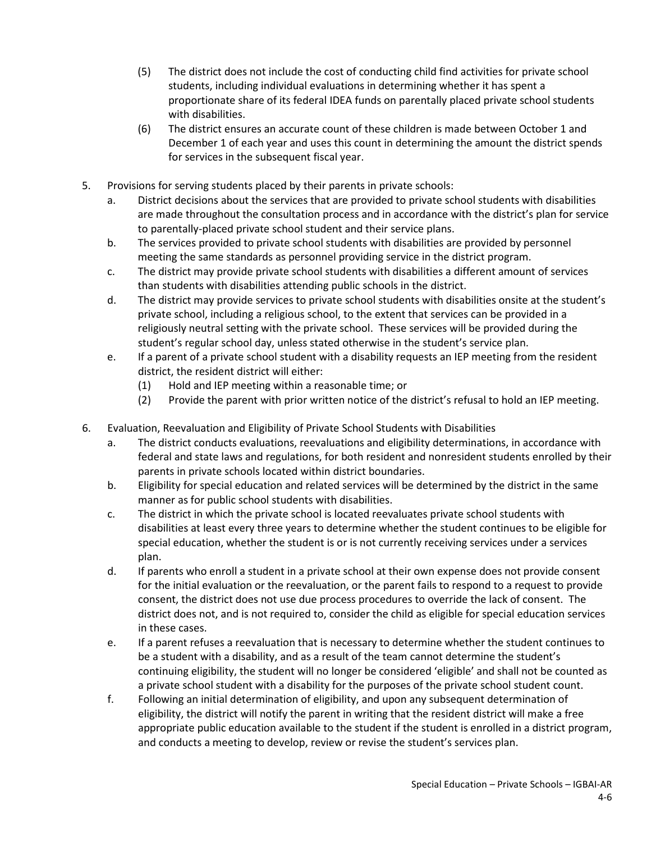- (5) The district does not include the cost of conducting child find activities for private school students, including individual evaluations in determining whether it has spent a proportionate share of its federal IDEA funds on parentally placed private school students with disabilities.
- (6) The district ensures an accurate count of these children is made between October 1 and December 1 of each year and uses this count in determining the amount the district spends for services in the subsequent fiscal year.
- 5. Provisions for serving students placed by their parents in private schools:
	- a. District decisions about the services that are provided to private school students with disabilities are made throughout the consultation process and in accordance with the district's plan for service to parentally-placed private school student and their service plans.
	- b. The services provided to private school students with disabilities are provided by personnel meeting the same standards as personnel providing service in the district program.
	- c. The district may provide private school students with disabilities a different amount of services than students with disabilities attending public schools in the district.
	- d. The district may provide services to private school students with disabilities onsite at the student's private school, including a religious school, to the extent that services can be provided in a religiously neutral setting with the private school. These services will be provided during the student's regular school day, unless stated otherwise in the student's service plan.
	- e. If a parent of a private school student with a disability requests an IEP meeting from the resident district, the resident district will either:
		- (1) Hold and IEP meeting within a reasonable time; or
		- (2) Provide the parent with prior written notice of the district's refusal to hold an IEP meeting.
- 6. Evaluation, Reevaluation and Eligibility of Private School Students with Disabilities
	- a. The district conducts evaluations, reevaluations and eligibility determinations, in accordance with federal and state laws and regulations, for both resident and nonresident students enrolled by their parents in private schools located within district boundaries.
	- b. Eligibility for special education and related services will be determined by the district in the same manner as for public school students with disabilities.
	- c. The district in which the private school is located reevaluates private school students with disabilities at least every three years to determine whether the student continues to be eligible for special education, whether the student is or is not currently receiving services under a services plan.
	- d. If parents who enroll a student in a private school at their own expense does not provide consent for the initial evaluation or the reevaluation, or the parent fails to respond to a request to provide consent, the district does not use due process procedures to override the lack of consent. The district does not, and is not required to, consider the child as eligible for special education services in these cases.
	- e. If a parent refuses a reevaluation that is necessary to determine whether the student continues to be a student with a disability, and as a result of the team cannot determine the student's continuing eligibility, the student will no longer be considered 'eligible' and shall not be counted as a private school student with a disability for the purposes of the private school student count.
	- f. Following an initial determination of eligibility, and upon any subsequent determination of eligibility, the district will notify the parent in writing that the resident district will make a free appropriate public education available to the student if the student is enrolled in a district program, and conducts a meeting to develop, review or revise the student's services plan.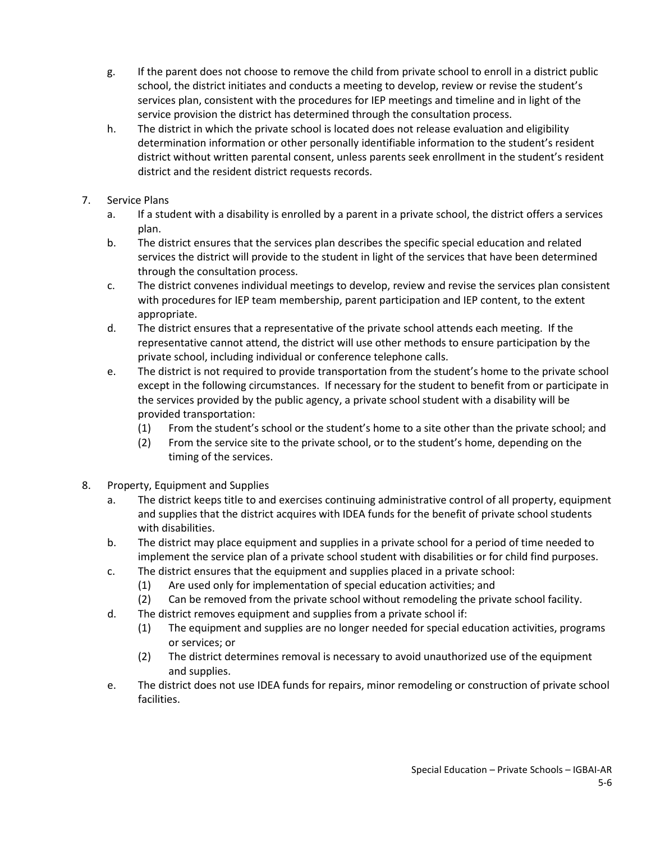- g. If the parent does not choose to remove the child from private school to enroll in a district public school, the district initiates and conducts a meeting to develop, review or revise the student's services plan, consistent with the procedures for IEP meetings and timeline and in light of the service provision the district has determined through the consultation process.
- h. The district in which the private school is located does not release evaluation and eligibility determination information or other personally identifiable information to the student's resident district without written parental consent, unless parents seek enrollment in the student's resident district and the resident district requests records.
- 7. Service Plans
	- a. If a student with a disability is enrolled by a parent in a private school, the district offers a services plan.
	- b. The district ensures that the services plan describes the specific special education and related services the district will provide to the student in light of the services that have been determined through the consultation process.
	- c. The district convenes individual meetings to develop, review and revise the services plan consistent with procedures for IEP team membership, parent participation and IEP content, to the extent appropriate.
	- d. The district ensures that a representative of the private school attends each meeting. If the representative cannot attend, the district will use other methods to ensure participation by the private school, including individual or conference telephone calls.
	- e. The district is not required to provide transportation from the student's home to the private school except in the following circumstances. If necessary for the student to benefit from or participate in the services provided by the public agency, a private school student with a disability will be provided transportation:
		- (1) From the student's school or the student's home to a site other than the private school; and
		- (2) From the service site to the private school, or to the student's home, depending on the timing of the services.
- 8. Property, Equipment and Supplies
	- a. The district keeps title to and exercises continuing administrative control of all property, equipment and supplies that the district acquires with IDEA funds for the benefit of private school students with disabilities.
	- b. The district may place equipment and supplies in a private school for a period of time needed to implement the service plan of a private school student with disabilities or for child find purposes.
	- c. The district ensures that the equipment and supplies placed in a private school:
		- (1) Are used only for implementation of special education activities; and
		- (2) Can be removed from the private school without remodeling the private school facility.
	- d. The district removes equipment and supplies from a private school if:
		- (1) The equipment and supplies are no longer needed for special education activities, programs or services; or
		- (2) The district determines removal is necessary to avoid unauthorized use of the equipment and supplies.
	- e. The district does not use IDEA funds for repairs, minor remodeling or construction of private school facilities.